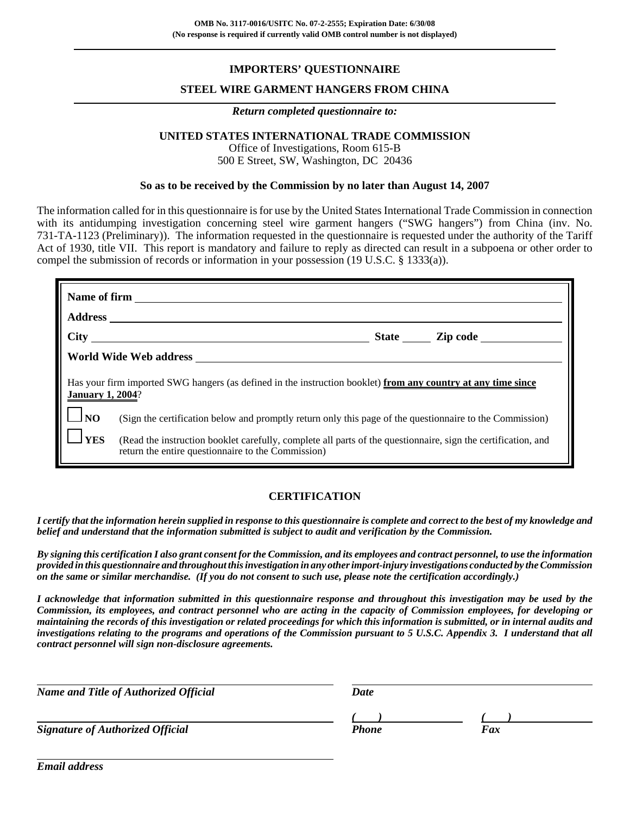# **IMPORTERS' QUESTIONNAIRE**

### **STEEL WIRE GARMENT HANGERS FROM CHINA**

#### *Return completed questionnaire to:*

# **UNITED STATES INTERNATIONAL TRADE COMMISSION**

Office of Investigations, Room 615-B 500 E Street, SW, Washington, DC 20436

#### **So as to be received by the Commission by no later than August 14, 2007**

The information called for in this questionnaire is for use by the United States International Trade Commission in connection with its antidumping investigation concerning steel wire garment hangers ("SWG hangers") from China (inv. No. 731-TA-1123 (Preliminary)). The information requested in the questionnaire is requested under the authority of the Tariff Act of 1930, title VII. This report is mandatory and failure to reply as directed can result in a subpoena or other order to compel the submission of records or information in your possession (19 U.S.C. § 1333(a)).

| Has your firm imported SWG hangers (as defined in the instruction booklet) from any country at any time since<br><b>January 1, 2004?</b><br>$\Box_{\rm NO}$ |                                                                                                                                                                                                                                                                                 |  |  |  |
|-------------------------------------------------------------------------------------------------------------------------------------------------------------|---------------------------------------------------------------------------------------------------------------------------------------------------------------------------------------------------------------------------------------------------------------------------------|--|--|--|
| <b>YES</b>                                                                                                                                                  | (Sign the certification below and promptly return only this page of the questionnaire to the Commission)<br>(Read the instruction booklet carefully, complete all parts of the questionnaire, sign the certification, and<br>return the entire questionnaire to the Commission) |  |  |  |

#### **CERTIFICATION**

*I certify that the information herein supplied in response to this questionnaire is complete and correct to the best of my knowledge and belief and understand that the information submitted is subject to audit and verification by the Commission.*

*By signing this certification I also grant consent for the Commission, and its employees and contract personnel, to use the information provided in this questionnaire and throughout this investigation in any other import-injury investigations conducted by the Commission on the same or similar merchandise. (If you do not consent to such use, please note the certification accordingly.)*

*I acknowledge that information submitted in this questionnaire response and throughout this investigation may be used by the Commission, its employees, and contract personnel who are acting in the capacity of Commission employees, for developing or maintaining the records of this investigation or related proceedings for which this information is submitted, or in internal audits and investigations relating to the programs and operations of the Commission pursuant to 5 U.S.C. Appendix 3. I understand that all contract personnel will sign non-disclosure agreements.*

| <b>Name and Title of Authorized Official</b> | Date         |     |  |
|----------------------------------------------|--------------|-----|--|
|                                              |              |     |  |
| <b>Signature of Authorized Official</b>      | <b>Phone</b> | Fax |  |

*Email address*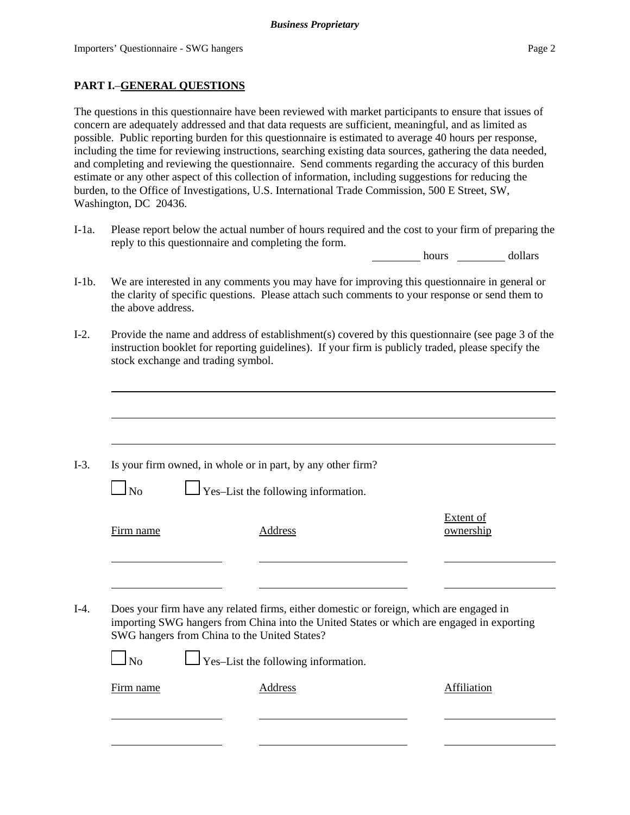# **PART I.**–**GENERAL QUESTIONS**

The questions in this questionnaire have been reviewed with market participants to ensure that issues of concern are adequately addressed and that data requests are sufficient, meaningful, and as limited as possible. Public reporting burden for this questionnaire is estimated to average 40 hours per response, including the time for reviewing instructions, searching existing data sources, gathering the data needed, and completing and reviewing the questionnaire. Send comments regarding the accuracy of this burden estimate or any other aspect of this collection of information, including suggestions for reducing the burden, to the Office of Investigations, U.S. International Trade Commission, 500 E Street, SW, Washington, DC 20436.

I-1a. Please report below the actual number of hours required and the cost to your firm of preparing the reply to this questionnaire and completing the form.

hours dollars

- I-1b. We are interested in any comments you may have for improving this questionnaire in general or the clarity of specific questions. Please attach such comments to your response or send them to the above address.
- I-2. Provide the name and address of establishment(s) covered by this questionnaire (see page 3 of the instruction booklet for reporting guidelines). If your firm is publicly traded, please specify the stock exchange and trading symbol.

|                     | Is your firm owned, in whole or in part, by any other firm?                                                                                                                          |                               |
|---------------------|--------------------------------------------------------------------------------------------------------------------------------------------------------------------------------------|-------------------------------|
| $\overline{\rm No}$ | $\Box$ Yes-List the following information.                                                                                                                                           |                               |
| Firm name           | <b>Address</b>                                                                                                                                                                       | <b>Extent of</b><br>ownership |
|                     |                                                                                                                                                                                      |                               |
|                     | Does your firm have any related firms, either domestic or foreign, which are engaged in<br>importing SWG hangers from China into the United States or which are engaged in exporting |                               |
|                     | SWG hangers from China to the United States?                                                                                                                                         |                               |
| $1_{\rm No}$        | $\Box$ Yes-List the following information.                                                                                                                                           |                               |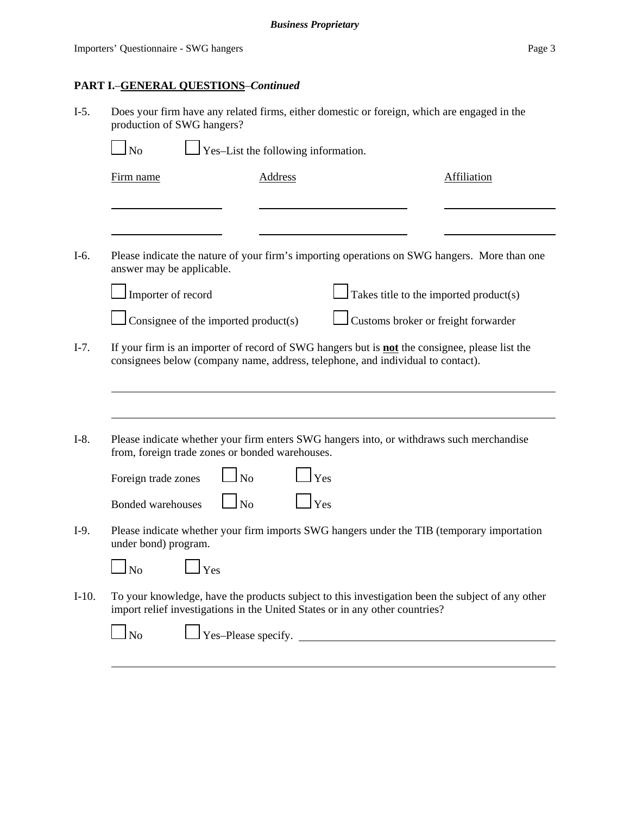| $I-5.$  | Does your firm have any related firms, either domestic or foreign, which are engaged in the<br>production of SWG hangers?                                                                |                                     |                                       |                                                                                                  |
|---------|------------------------------------------------------------------------------------------------------------------------------------------------------------------------------------------|-------------------------------------|---------------------------------------|--------------------------------------------------------------------------------------------------|
|         | <b>No</b>                                                                                                                                                                                | Yes-List the following information. |                                       |                                                                                                  |
|         | Firm name                                                                                                                                                                                | <b>Address</b>                      |                                       | <b>Affiliation</b>                                                                               |
|         |                                                                                                                                                                                          |                                     |                                       |                                                                                                  |
| $I-6.$  | answer may be applicable.                                                                                                                                                                |                                     |                                       | Please indicate the nature of your firm's importing operations on SWG hangers. More than one     |
|         | Importer of record                                                                                                                                                                       |                                     |                                       | Takes title to the imported product(s)                                                           |
|         | Consignee of the imported product(s)                                                                                                                                                     |                                     |                                       | Customs broker or freight forwarder                                                              |
| $I-7.$  | If your firm is an importer of record of SWG hangers but is <b>not</b> the consignee, please list the<br>consignees below (company name, address, telephone, and individual to contact). |                                     |                                       |                                                                                                  |
| $I-8.$  | Please indicate whether your firm enters SWG hangers into, or withdraws such merchandise<br>from, foreign trade zones or bonded warehouses.                                              |                                     |                                       |                                                                                                  |
|         | Foreign trade zones                                                                                                                                                                      | N <sub>o</sub>                      | Yes                                   |                                                                                                  |
|         | <b>Bonded warehouses</b>                                                                                                                                                                 | $\overline{\rm ~No}$                | Yes                                   |                                                                                                  |
| $I-9.$  | under bond) program.                                                                                                                                                                     |                                     |                                       | Please indicate whether your firm imports SWG hangers under the TIB (temporary importation       |
|         | $\mathbf{\perp}$ Yes<br>$\mathbf{\mathbf{I}}$ No                                                                                                                                         |                                     |                                       |                                                                                                  |
| $I-10.$ | import relief investigations in the United States or in any other countries?                                                                                                             |                                     |                                       | To your knowledge, have the products subject to this investigation been the subject of any other |
|         | <b>No</b>                                                                                                                                                                                |                                     | $\Gamma$ Yes-Please specify. $\Gamma$ |                                                                                                  |
|         |                                                                                                                                                                                          |                                     |                                       |                                                                                                  |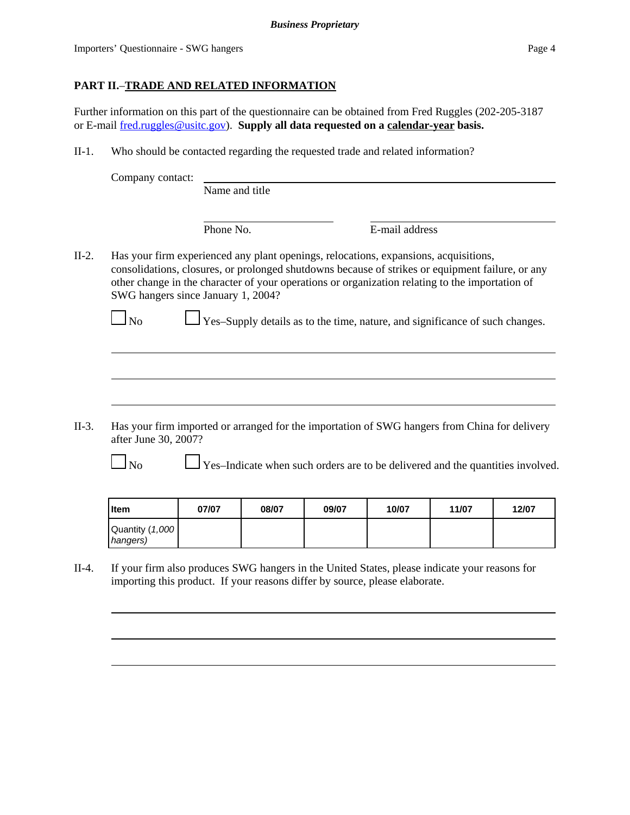# **PART II.**–**TRADE AND RELATED INFORMATION**

Further information on this part of the questionnaire can be obtained from Fred Ruggles (202-205-3187 or E-mail fred.ruggles@usitc.gov). **Supply all data requested on a calendar-year basis.**

II-1. Who should be contacted regarding the requested trade and related information?

|         | Company contact:                         | Name and title |                                                                                                                                                                                                                                                                                                                                                                             |  |
|---------|------------------------------------------|----------------|-----------------------------------------------------------------------------------------------------------------------------------------------------------------------------------------------------------------------------------------------------------------------------------------------------------------------------------------------------------------------------|--|
|         |                                          | Phone No.      | E-mail address                                                                                                                                                                                                                                                                                                                                                              |  |
| $II-2.$ | SWG hangers since January 1, 2004?<br>No |                | Has your firm experienced any plant openings, relocations, expansions, acquisitions,<br>consolidations, closures, or prolonged shutdowns because of strikes or equipment failure, or any<br>other change in the character of your operations or organization relating to the importation of<br>Yes-Supply details as to the time, nature, and significance of such changes. |  |
| II-3.   |                                          |                | Has your firm imported or arranged for the importation of SWG hangers from China for delivery                                                                                                                                                                                                                                                                               |  |
|         | after June 30, 2007?                     |                | Yes-Indicate when such orders are to be delivered and the quantities involved.                                                                                                                                                                                                                                                                                              |  |

| <b>I</b> tem                | 07/07 | 08/07 | 09/07 | 10/07 | 11/07 | 12/07 |
|-----------------------------|-------|-------|-------|-------|-------|-------|
| Quantity (1,000<br>hangers) |       |       |       |       |       |       |

II-4. If your firm also produces SWG hangers in the United States, please indicate your reasons for importing this product. If your reasons differ by source, please elaborate.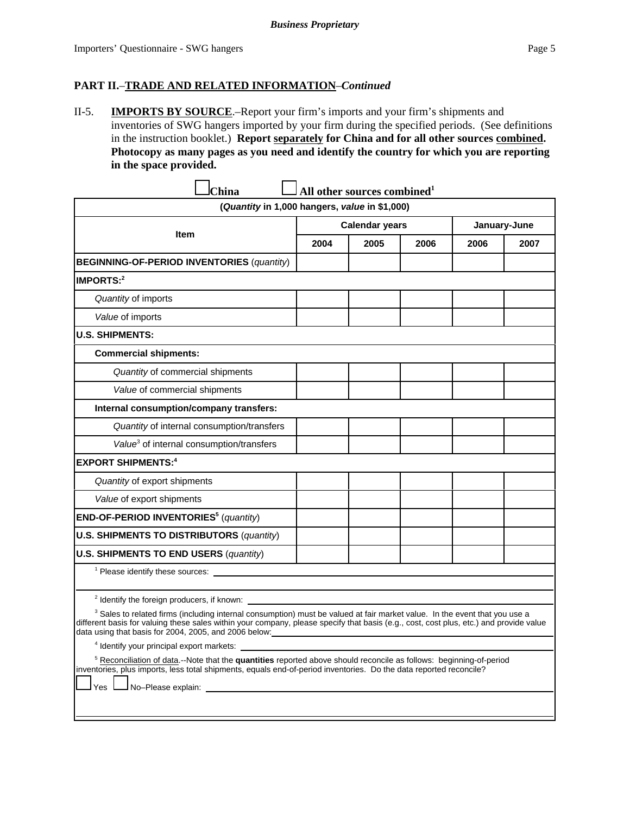## **PART II.**–**TRADE AND RELATED INFORMATION**–*Continued*

II-5. **IMPORTS BY SOURCE**.–Report your firm's imports and your firm's shipments and inventories of SWG hangers imported by your firm during the specified periods. (See definitions in the instruction booklet.) **Report separately for China and for all other sources combined. Photocopy as many pages as you need and identify the country for which you are reporting in the space provided.**

 $\mathbf{r}$ 

| 2004                                                                                                                                                                                                                                                                                                                                                                                                                                                                                                                                                                                                                                                                                                                                            | (Quantity in 1,000 hangers, value in \$1,000)<br><b>Calendar years</b><br>2005 | 2006 |      | January-June |
|-------------------------------------------------------------------------------------------------------------------------------------------------------------------------------------------------------------------------------------------------------------------------------------------------------------------------------------------------------------------------------------------------------------------------------------------------------------------------------------------------------------------------------------------------------------------------------------------------------------------------------------------------------------------------------------------------------------------------------------------------|--------------------------------------------------------------------------------|------|------|--------------|
|                                                                                                                                                                                                                                                                                                                                                                                                                                                                                                                                                                                                                                                                                                                                                 |                                                                                |      |      |              |
|                                                                                                                                                                                                                                                                                                                                                                                                                                                                                                                                                                                                                                                                                                                                                 |                                                                                |      |      |              |
|                                                                                                                                                                                                                                                                                                                                                                                                                                                                                                                                                                                                                                                                                                                                                 |                                                                                |      | 2006 | 2007         |
|                                                                                                                                                                                                                                                                                                                                                                                                                                                                                                                                                                                                                                                                                                                                                 |                                                                                |      |      |              |
|                                                                                                                                                                                                                                                                                                                                                                                                                                                                                                                                                                                                                                                                                                                                                 |                                                                                |      |      |              |
|                                                                                                                                                                                                                                                                                                                                                                                                                                                                                                                                                                                                                                                                                                                                                 |                                                                                |      |      |              |
|                                                                                                                                                                                                                                                                                                                                                                                                                                                                                                                                                                                                                                                                                                                                                 |                                                                                |      |      |              |
|                                                                                                                                                                                                                                                                                                                                                                                                                                                                                                                                                                                                                                                                                                                                                 |                                                                                |      |      |              |
|                                                                                                                                                                                                                                                                                                                                                                                                                                                                                                                                                                                                                                                                                                                                                 |                                                                                |      |      |              |
|                                                                                                                                                                                                                                                                                                                                                                                                                                                                                                                                                                                                                                                                                                                                                 |                                                                                |      |      |              |
|                                                                                                                                                                                                                                                                                                                                                                                                                                                                                                                                                                                                                                                                                                                                                 |                                                                                |      |      |              |
|                                                                                                                                                                                                                                                                                                                                                                                                                                                                                                                                                                                                                                                                                                                                                 |                                                                                |      |      |              |
|                                                                                                                                                                                                                                                                                                                                                                                                                                                                                                                                                                                                                                                                                                                                                 |                                                                                |      |      |              |
|                                                                                                                                                                                                                                                                                                                                                                                                                                                                                                                                                                                                                                                                                                                                                 |                                                                                |      |      |              |
|                                                                                                                                                                                                                                                                                                                                                                                                                                                                                                                                                                                                                                                                                                                                                 |                                                                                |      |      |              |
|                                                                                                                                                                                                                                                                                                                                                                                                                                                                                                                                                                                                                                                                                                                                                 |                                                                                |      |      |              |
|                                                                                                                                                                                                                                                                                                                                                                                                                                                                                                                                                                                                                                                                                                                                                 |                                                                                |      |      |              |
|                                                                                                                                                                                                                                                                                                                                                                                                                                                                                                                                                                                                                                                                                                                                                 |                                                                                |      |      |              |
|                                                                                                                                                                                                                                                                                                                                                                                                                                                                                                                                                                                                                                                                                                                                                 |                                                                                |      |      |              |
|                                                                                                                                                                                                                                                                                                                                                                                                                                                                                                                                                                                                                                                                                                                                                 |                                                                                |      |      |              |
|                                                                                                                                                                                                                                                                                                                                                                                                                                                                                                                                                                                                                                                                                                                                                 |                                                                                |      |      |              |
| <sup>2</sup> Identify the foreign producers, if known:<br><sup>3</sup> Sales to related firms (including internal consumption) must be valued at fair market value. In the event that you use a<br>different basis for valuing these sales within your company, please specify that basis (e.g., cost, cost plus, etc.) and provide value<br>data using that basis for 2004, 2005, and 2006 below:<br><sup>4</sup> Identify your principal export markets:<br><sup>5</sup> Reconciliation of data.--Note that the quantities reported above should reconcile as follows: beginning-of-period<br>inventories, plus imports, less total shipments, equals end-of-period inventories. Do the data reported reconcile?<br>No-Please explain:<br>Yes |                                                                                |      |      |              |
|                                                                                                                                                                                                                                                                                                                                                                                                                                                                                                                                                                                                                                                                                                                                                 |                                                                                |      |      |              |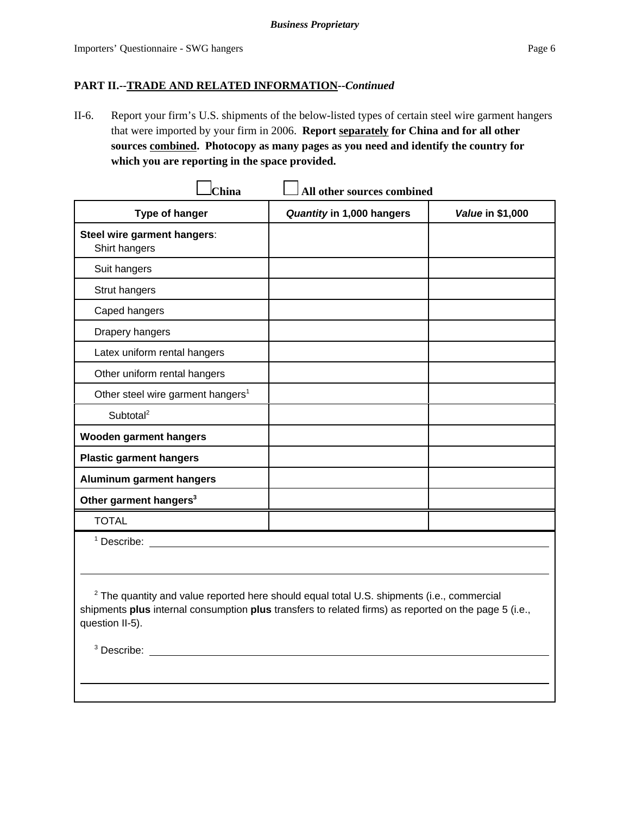## **PART II.--TRADE AND RELATED INFORMATION--***Continued*

II-6. Report your firm's U.S. shipments of the below-listed types of certain steel wire garment hangers that were imported by your firm in 2006. **Report separately for China and for all other sources combined. Photocopy as many pages as you need and identify the country for which you are reporting in the space provided.**

| China                                         | All other sources combined |                  |
|-----------------------------------------------|----------------------------|------------------|
| Type of hanger                                | Quantity in 1,000 hangers  | Value in \$1,000 |
| Steel wire garment hangers:<br>Shirt hangers  |                            |                  |
| Suit hangers                                  |                            |                  |
| Strut hangers                                 |                            |                  |
| Caped hangers                                 |                            |                  |
| Drapery hangers                               |                            |                  |
| Latex uniform rental hangers                  |                            |                  |
| Other uniform rental hangers                  |                            |                  |
| Other steel wire garment hangers <sup>1</sup> |                            |                  |
| Subtotal <sup>2</sup>                         |                            |                  |
| <b>Wooden garment hangers</b>                 |                            |                  |
| <b>Plastic garment hangers</b>                |                            |                  |
| <b>Aluminum garment hangers</b>               |                            |                  |
| Other garment hangers <sup>3</sup>            |                            |                  |
| <b>TOTAL</b>                                  |                            |                  |
| <sup>1</sup> Describe:                        |                            |                  |
|                                               |                            |                  |

 $2$  The quantity and value reported here should equal total U.S. shipments (i.e., commercial shipments **plus** internal consumption **plus** transfers to related firms) as reported on the page 5 (i.e., question II-5).

<sup>3</sup> Describe: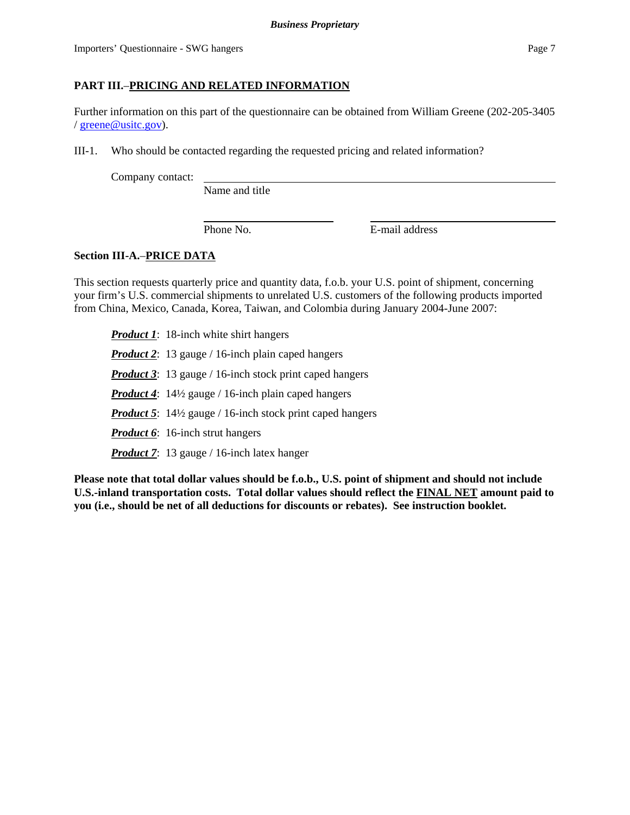# **PART III.**–**PRICING AND RELATED INFORMATION**

Further information on this part of the questionnaire can be obtained from William Greene (202-205-3405 / greene@usitc.gov).

III-1. Who should be contacted regarding the requested pricing and related information?

Company contact:

Name and title

Phone No. **E**-mail address

# **Section III-A.**–**PRICE DATA**

This section requests quarterly price and quantity data, f.o.b. your U.S. point of shipment, concerning your firm's U.S. commercial shipments to unrelated U.S. customers of the following products imported from China, Mexico, Canada, Korea, Taiwan, and Colombia during January 2004-June 2007:

*Product 1*: 18-inch white shirt hangers *Product 2*: 13 gauge / 16-inch plain caped hangers *Product 3*: 13 gauge / 16-inch stock print caped hangers *Product 4*: 14½ gauge / 16-inch plain caped hangers *Product 5*: 14½ gauge / 16-inch stock print caped hangers *Product 6*: 16-inch strut hangers *Product 7*: 13 gauge / 16-inch latex hanger

**Please note that total dollar values should be f.o.b., U.S. point of shipment and should not include U.S.-inland transportation costs. Total dollar values should reflect the FINAL NET amount paid to you (i.e., should be net of all deductions for discounts or rebates). See instruction booklet.**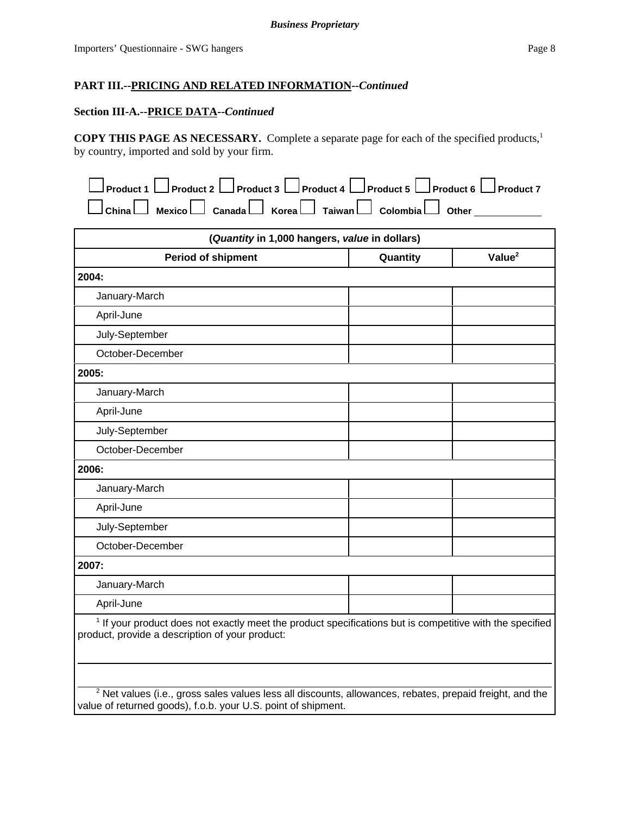#### **Section III-A.--PRICE DATA--***Continued*

**COPY THIS PAGE AS NECESSARY.** Complete a separate page for each of the specified products,1 by country, imported and sold by your firm.

| $\Box$ Product 1 $\Box$ Product 2 $\Box$ Product 3 $\Box$ Product 4 $\Box$ Product 5 $\Box$ Product 6 $\Box$ Product 7 |  |  |
|------------------------------------------------------------------------------------------------------------------------|--|--|
| $\Box$ China $\Box$ Mexico $\Box$ Canada $\Box$ Korea $\Box$ Taiwan $\Box$ Colombia $\Box$ Other                       |  |  |

| (Quantity in 1,000 hangers, value in dollars)                                                                       |          |                    |  |
|---------------------------------------------------------------------------------------------------------------------|----------|--------------------|--|
| <b>Period of shipment</b>                                                                                           | Quantity | Value <sup>2</sup> |  |
| 2004:                                                                                                               |          |                    |  |
| January-March                                                                                                       |          |                    |  |
| April-June                                                                                                          |          |                    |  |
| July-September                                                                                                      |          |                    |  |
| October-December                                                                                                    |          |                    |  |
| 2005:                                                                                                               |          |                    |  |
| January-March                                                                                                       |          |                    |  |
| April-June                                                                                                          |          |                    |  |
| July-September                                                                                                      |          |                    |  |
| October-December                                                                                                    |          |                    |  |
| 2006:                                                                                                               |          |                    |  |
| January-March                                                                                                       |          |                    |  |
| April-June                                                                                                          |          |                    |  |
| July-September                                                                                                      |          |                    |  |
| October-December                                                                                                    |          |                    |  |
| 2007:                                                                                                               |          |                    |  |
| January-March                                                                                                       |          |                    |  |
| April-June                                                                                                          |          |                    |  |
| <sup>1</sup> If your product does not exactly meet the product specifications but is competitive with the specified |          |                    |  |

product, provide a description of your product:

 $^2$  Net values (i.e., gross sales values less all discounts, allowances, rebates, prepaid freight, and the value of returned goods), f.o.b. your U.S. point of shipment.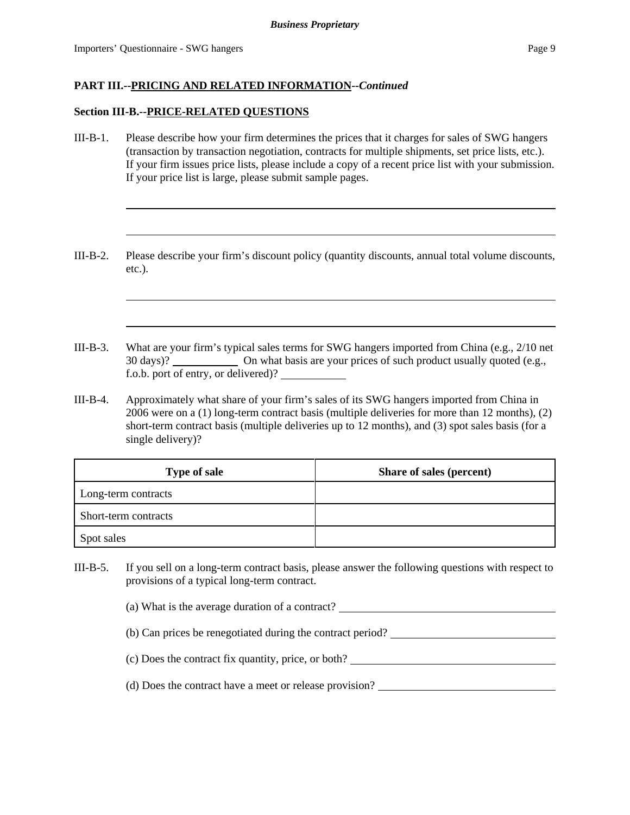#### **Section III-B.--PRICE-RELATED QUESTIONS**

- III-B-1. Please describe how your firm determines the prices that it charges for sales of SWG hangers (transaction by transaction negotiation, contracts for multiple shipments, set price lists, etc.). If your firm issues price lists, please include a copy of a recent price list with your submission. If your price list is large, please submit sample pages.
- III-B-2. Please describe your firm's discount policy (quantity discounts, annual total volume discounts, etc.).
- III-B-3. What are your firm's typical sales terms for SWG hangers imported from China (e.g., 2/10 net 30 days)? On what basis are your prices of such product usually quoted (e.g., f.o.b. port of entry, or delivered)?
- III-B-4. Approximately what share of your firm's sales of its SWG hangers imported from China in 2006 were on a (1) long-term contract basis (multiple deliveries for more than 12 months), (2) short-term contract basis (multiple deliveries up to 12 months), and (3) spot sales basis (for a single delivery)?

| <b>Type of sale</b>  | Share of sales (percent) |
|----------------------|--------------------------|
| Long-term contracts  |                          |
| Short-term contracts |                          |
| Spot sales           |                          |

- III-B-5. If you sell on a long-term contract basis, please answer the following questions with respect to provisions of a typical long-term contract.
	- (a) What is the average duration of a contract?
	- (b) Can prices be renegotiated during the contract period?
	- (c) Does the contract fix quantity, price, or both?
	- (d) Does the contract have a meet or release provision?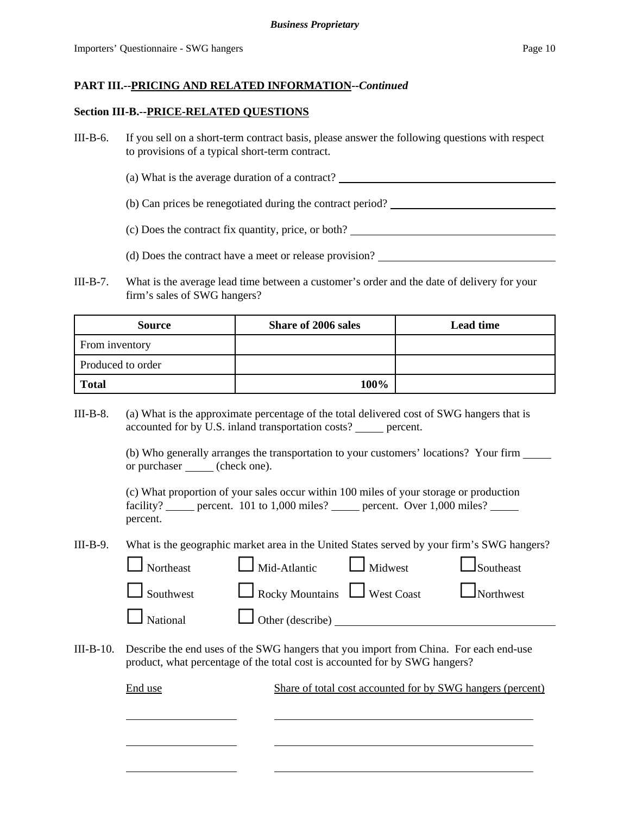#### **Section III-B.--PRICE-RELATED QUESTIONS**

- III-B-6. If you sell on a short-term contract basis, please answer the following questions with respect to provisions of a typical short-term contract.
	- (a) What is the average duration of a contract?
	- (b) Can prices be renegotiated during the contract period?
	- (c) Does the contract fix quantity, price, or both?
	- (d) Does the contract have a meet or release provision?
- III-B-7. What is the average lead time between a customer's order and the date of delivery for your firm's sales of SWG hangers?

| <b>Source</b>     | <b>Share of 2006 sales</b> | <b>Lead time</b> |
|-------------------|----------------------------|------------------|
| From inventory    |                            |                  |
| Produced to order |                            |                  |
| <b>Total</b>      | 100%                       |                  |

III-B-8. (a) What is the approximate percentage of the total delivered cost of SWG hangers that is accounted for by U.S. inland transportation costs? \_\_\_\_\_ percent.

> (b) Who generally arranges the transportation to your customers' locations? Your firm or purchaser (check one).

(c) What proportion of your sales occur within 100 miles of your storage or production facility? \_\_\_\_\_ percent. 101 to 1,000 miles? \_\_\_\_\_ percent. Over 1,000 miles? \_\_\_\_ percent.

III-B-9. What is the geographic market area in the United States served by your firm's SWG hangers?

| $\Box$ Northeast | $\Box$ Mid-Atlantic $\Box$ Midwest |                                      | $\Box$ Southeast |
|------------------|------------------------------------|--------------------------------------|------------------|
| $\Box$ Southwest |                                    | Rocky Mountains West Coast Northwest |                  |
| $\Box$ National  | Other (describe) $\_\_$            |                                      |                  |

III-B-10. Describe the end uses of the SWG hangers that you import from China. For each end-use product, what percentage of the total cost is accounted for by SWG hangers?

| End use | Share of total cost accounted for by SWG hangers (percent) |
|---------|------------------------------------------------------------|
|         |                                                            |
|         |                                                            |
|         |                                                            |
|         |                                                            |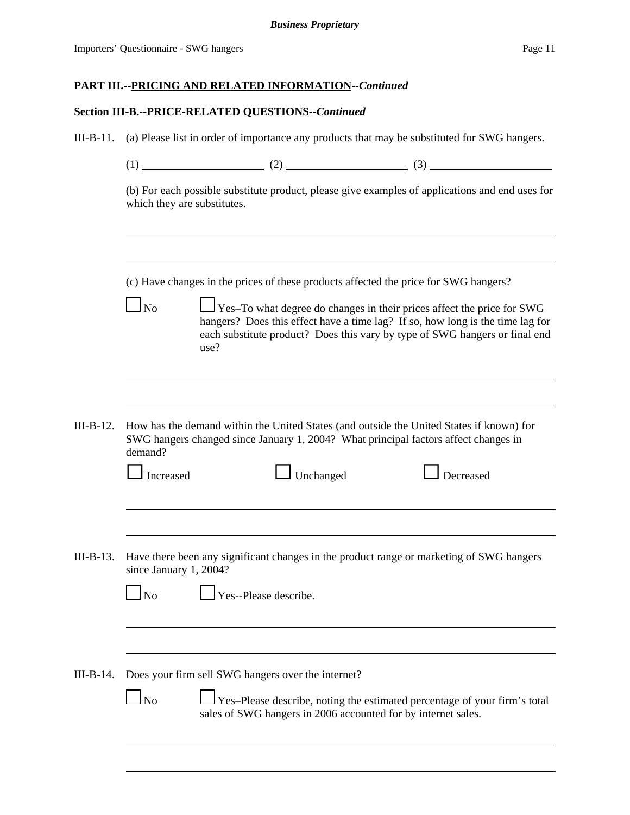# **Section III-B.--PRICE-RELATED QUESTIONS--***Continued*

| $III-B-11.$ | (a) Please list in order of importance any products that may be substituted for SWG hangers.                                   |                                                                                                                                                                                 |  |                                                                                                                                                                                                                                                |  |  |  |  |
|-------------|--------------------------------------------------------------------------------------------------------------------------------|---------------------------------------------------------------------------------------------------------------------------------------------------------------------------------|--|------------------------------------------------------------------------------------------------------------------------------------------------------------------------------------------------------------------------------------------------|--|--|--|--|
|             |                                                                                                                                |                                                                                                                                                                                 |  | $(1)$ (1) (2) (3)                                                                                                                                                                                                                              |  |  |  |  |
|             | (b) For each possible substitute product, please give examples of applications and end uses for<br>which they are substitutes. |                                                                                                                                                                                 |  |                                                                                                                                                                                                                                                |  |  |  |  |
|             | (c) Have changes in the prices of these products affected the price for SWG hangers?                                           |                                                                                                                                                                                 |  |                                                                                                                                                                                                                                                |  |  |  |  |
|             | $\log$                                                                                                                         | use?                                                                                                                                                                            |  | $\Box$ Yes-To what degree do changes in their prices affect the price for SWG<br>hangers? Does this effect have a time lag? If so, how long is the time lag for<br>each substitute product? Does this vary by type of SWG hangers or final end |  |  |  |  |
|             |                                                                                                                                |                                                                                                                                                                                 |  |                                                                                                                                                                                                                                                |  |  |  |  |
| $III-B-12.$ | demand?                                                                                                                        | How has the demand within the United States (and outside the United States if known) for<br>SWG hangers changed since January 1, 2004? What principal factors affect changes in |  |                                                                                                                                                                                                                                                |  |  |  |  |
|             | $\Box$ Increased                                                                                                               | $\Box$ Unchanged                                                                                                                                                                |  | Decreased                                                                                                                                                                                                                                      |  |  |  |  |
|             |                                                                                                                                |                                                                                                                                                                                 |  |                                                                                                                                                                                                                                                |  |  |  |  |
| $III-B-13.$ | since January 1, 2004?                                                                                                         |                                                                                                                                                                                 |  | Have there been any significant changes in the product range or marketing of SWG hangers                                                                                                                                                       |  |  |  |  |
|             | $\Box$ No $\Box$                                                                                                               | Yes--Please describe.                                                                                                                                                           |  |                                                                                                                                                                                                                                                |  |  |  |  |
|             |                                                                                                                                |                                                                                                                                                                                 |  |                                                                                                                                                                                                                                                |  |  |  |  |
| $III-B-14.$ | $\log$                                                                                                                         | Does your firm sell SWG hangers over the internet?<br>sales of SWG hangers in 2006 accounted for by internet sales.                                                             |  | Yes-Please describe, noting the estimated percentage of your firm's total                                                                                                                                                                      |  |  |  |  |
|             |                                                                                                                                |                                                                                                                                                                                 |  |                                                                                                                                                                                                                                                |  |  |  |  |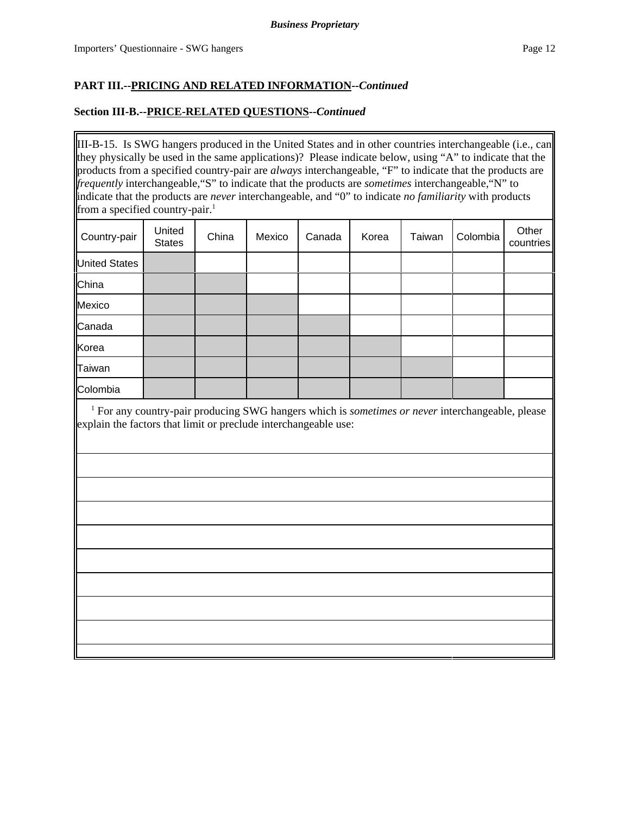## **Section III-B.--PRICE-RELATED QUESTIONS--***Continued*

III-B-15. Is SWG hangers produced in the United States and in other countries interchangeable (i.e., can they physically be used in the same applications)? Please indicate below, using "A" to indicate that the products from a specified country-pair are *always* interchangeable, "F" to indicate that the products are *frequently* interchangeable,"S" to indicate that the products are *sometimes* interchangeable,"N" to indicate that the products are *never* interchangeable, and "0" to indicate *no familiarity* with products from a specified country-pair.<sup>1</sup>

| Country-pair         | United<br><b>States</b> | China | Mexico | Canada | Korea | Taiwan | Colombia | Other<br>countries |
|----------------------|-------------------------|-------|--------|--------|-------|--------|----------|--------------------|
| <b>United States</b> |                         |       |        |        |       |        |          |                    |
| China                |                         |       |        |        |       |        |          |                    |
| Mexico               |                         |       |        |        |       |        |          |                    |
| Canada               |                         |       |        |        |       |        |          |                    |
| Korea                |                         |       |        |        |       |        |          |                    |
| Taiwan               |                         |       |        |        |       |        |          |                    |
| Colombia             |                         |       |        |        |       |        |          |                    |

<sup>1</sup> For any country-pair producing SWG hangers which is *sometimes or never* interchangeable, please explain the factors that limit or preclude interchangeable use: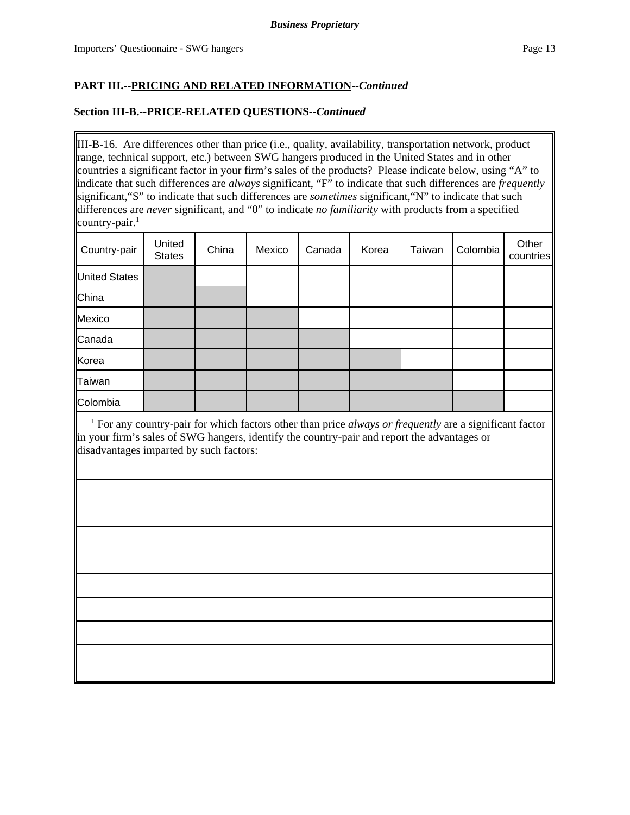## **Section III-B.--PRICE-RELATED QUESTIONS--***Continued*

III-B-16. Are differences other than price (i.e., quality, availability, transportation network, product range, technical support, etc.) between SWG hangers produced in the United States and in other countries a significant factor in your firm's sales of the products? Please indicate below, using "A" to indicate that such differences are *always* significant, "F" to indicate that such differences are *frequently* significant,"S" to indicate that such differences are *sometimes* significant,"N" to indicate that such differences are *never* significant, and "0" to indicate *no familiarity* with products from a specified country-pair. $<sup>1</sup>$ </sup>

| Country-pair         | United<br><b>States</b> | China | Mexico | Canada | Korea | Taiwan | Colombia | Other<br>countries |
|----------------------|-------------------------|-------|--------|--------|-------|--------|----------|--------------------|
| <b>United States</b> |                         |       |        |        |       |        |          |                    |
| China                |                         |       |        |        |       |        |          |                    |
| Mexico               |                         |       |        |        |       |        |          |                    |
| Canada               |                         |       |        |        |       |        |          |                    |
| Korea                |                         |       |        |        |       |        |          |                    |
| <b>Taiwan</b>        |                         |       |        |        |       |        |          |                    |
| Colombia             |                         |       |        |        |       |        |          |                    |

<sup>1</sup> For any country-pair for which factors other than price *always or frequently* are a significant factor in your firm's sales of SWG hangers, identify the country-pair and report the advantages or disadvantages imparted by such factors: